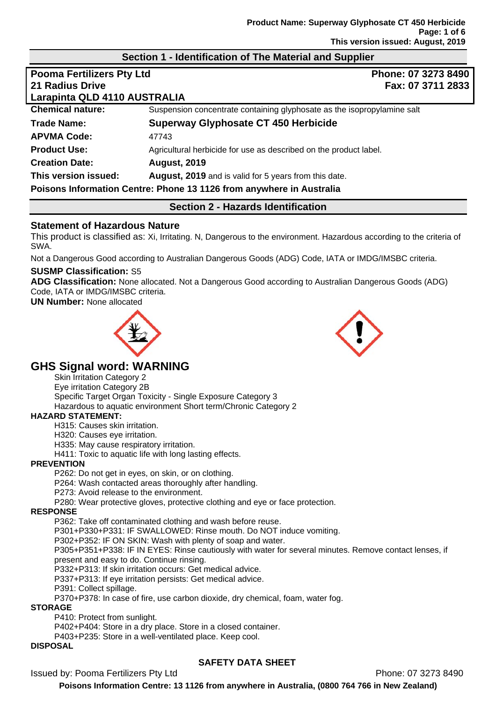### **Section 1 - Identification of The Material and Supplier**

| <b>Pooma Fertilizers Pty Ltd</b> | Phone: 07 3273 8490                                                     |
|----------------------------------|-------------------------------------------------------------------------|
| 21 Radius Drive                  | Fax: 07 3711 2833                                                       |
| Larapinta QLD 4110 AUSTRALIA     |                                                                         |
| <b>Chemical nature:</b>          | Suspension concentrate containing glyphosate as the isopropylamine salt |
| Trade Name:                      | Superway Glyphosate CT 450 Herbicide                                    |
| <b>APVMA Code:</b>               | 47743                                                                   |
| <b>Product Use:</b>              | Agricultural herbicide for use as described on the product label.       |
| <b>Creation Date:</b>            | <b>August, 2019</b>                                                     |
| This version issued:             | August, 2019 and is valid for 5 years from this date.                   |
|                                  | Poisons Information Centre: Phone 13 1126 from anywhere in Australia    |

## **Section 2 - Hazards Identification**

### **Statement of Hazardous Nature**

This product is classified as: Xi, Irritating. N, Dangerous to the environment. Hazardous according to the criteria of SWA.

Not a Dangerous Good according to Australian Dangerous Goods (ADG) Code, IATA or IMDG/IMSBC criteria.

#### **SUSMP Classification:** S5

**ADG Classification:** None allocated. Not a Dangerous Good according to Australian Dangerous Goods (ADG) Code, IATA or IMDG/IMSBC criteria.

**UN Number:** None allocated





# **GHS Signal word: WARNING**

Skin Irritation Category 2 Eye irritation Category 2B Specific Target Organ Toxicity - Single Exposure Category 3 Hazardous to aquatic environment Short term/Chronic Category 2

### **HAZARD STATEMENT:**

H315: Causes skin irritation.

H320: Causes eye irritation.

H335: May cause respiratory irritation.

H411: Toxic to aquatic life with long lasting effects.

#### **PREVENTION**

P262: Do not get in eyes, on skin, or on clothing.

P264: Wash contacted areas thoroughly after handling.

P273: Avoid release to the environment.

P280: Wear protective gloves, protective clothing and eye or face protection.

#### **RESPONSE**

P362: Take off contaminated clothing and wash before reuse.

P301+P330+P331: IF SWALLOWED: Rinse mouth. Do NOT induce vomiting.

P302+P352: IF ON SKIN: Wash with plenty of soap and water.

P305+P351+P338: IF IN EYES: Rinse cautiously with water for several minutes. Remove contact lenses, if present and easy to do. Continue rinsing.

P332+P313: If skin irritation occurs: Get medical advice.

P337+P313: If eye irritation persists: Get medical advice.

P391: Collect spillage.

P370+P378: In case of fire, use carbon dioxide, dry chemical, foam, water fog.

#### **STORAGE**

P410: Protect from sunlight.

P402+P404: Store in a dry place. Store in a closed container.

P403+P235: Store in a well-ventilated place. Keep cool.

### **DISPOSAL**

### **SAFETY DATA SHEET**

Issued by: Pooma Fertilizers Pty Ltd **Phone: 07 3273 8490**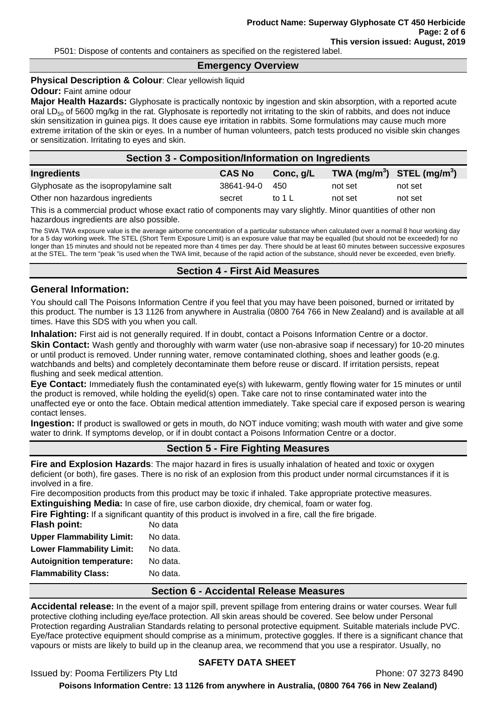P501: Dispose of contents and containers as specified on the registered label.

#### **Emergency Overview**

#### **Physical Description & Colour: Clear yellowish liquid**

#### **Odour:** Faint amine odour

**Major Health Hazards:** Glyphosate is practically nontoxic by ingestion and skin absorption, with a reported acute oral LD<sub>50</sub> of 5600 mg/kg in the rat. Glyphosate is reportedly not irritating to the skin of rabbits, and does not induce skin sensitization in guinea pigs. It does cause eye irritation in rabbits. Some formulations may cause much more extreme irritation of the skin or eyes. In a number of human volunteers, patch tests produced no visible skin changes or sensitization. Irritating to eyes and skin.

#### **Section 3 - Composition/Information on Ingredients**

| Ingredients                           | <b>CAS No</b> | Conc, g/L | TWA $(mg/m^3)$ STEL $(mg/m^3)$ |         |
|---------------------------------------|---------------|-----------|--------------------------------|---------|
| Glyphosate as the isopropylamine salt | 38641-94-0    | 450       | not set                        | not set |
| Other non hazardous ingredients       | secret        | to 1 L    | not set                        | not set |

This is a commercial product whose exact ratio of components may vary slightly. Minor quantities of other non hazardous ingredients are also possible.

The SWA TWA exposure value is the average airborne concentration of a particular substance when calculated over a normal 8 hour working day for a 5 day working week. The STEL (Short Term Exposure Limit) is an exposure value that may be equalled (but should not be exceeded) for no longer than 15 minutes and should not be repeated more than 4 times per day. There should be at least 60 minutes between successive exposures at the STEL. The term "peak "is used when the TWA limit, because of the rapid action of the substance, should never be exceeded, even briefly.

### **Section 4 - First Aid Measures**

#### **General Information:**

You should call The Poisons Information Centre if you feel that you may have been poisoned, burned or irritated by this product. The number is 13 1126 from anywhere in Australia (0800 764 766 in New Zealand) and is available at all times. Have this SDS with you when you call.

**Inhalation:** First aid is not generally required. If in doubt, contact a Poisons Information Centre or a doctor. **Skin Contact:** Wash gently and thoroughly with warm water (use non-abrasive soap if necessary) for 10-20 minutes or until product is removed. Under running water, remove contaminated clothing, shoes and leather goods (e.g. watchbands and belts) and completely decontaminate them before reuse or discard. If irritation persists, repeat flushing and seek medical attention.

**Eye Contact:** Immediately flush the contaminated eye(s) with lukewarm, gently flowing water for 15 minutes or until the product is removed, while holding the eyelid(s) open. Take care not to rinse contaminated water into the unaffected eye or onto the face. Obtain medical attention immediately. Take special care if exposed person is wearing contact lenses.

**Ingestion:** If product is swallowed or gets in mouth, do NOT induce vomiting; wash mouth with water and give some water to drink. If symptoms develop, or if in doubt contact a Poisons Information Centre or a doctor.

## **Section 5 - Fire Fighting Measures**

**Fire and Explosion Hazards**: The major hazard in fires is usually inhalation of heated and toxic or oxygen deficient (or both), fire gases. There is no risk of an explosion from this product under normal circumstances if it is involved in a fire.

Fire decomposition products from this product may be toxic if inhaled. Take appropriate protective measures. **Extinguishing Media:** In case of fire, use carbon dioxide, dry chemical, foam or water fog.

**Fire Fighting:** If a significant quantity of this product is involved in a fire, call the fire brigade.

| <b>Flash point:</b>              | No data  |
|----------------------------------|----------|
| <b>Upper Flammability Limit:</b> | No data. |
| <b>Lower Flammability Limit:</b> | No data. |
| <b>Autoignition temperature:</b> | No data. |
| <b>Flammability Class:</b>       | No data. |

#### **Section 6 - Accidental Release Measures**

**Accidental release:** In the event of a major spill, prevent spillage from entering drains or water courses. Wear full protective clothing including eye/face protection. All skin areas should be covered. See below under Personal Protection regarding Australian Standards relating to personal protective equipment. Suitable materials include PVC. Eye/face protective equipment should comprise as a minimum, protective goggles. If there is a significant chance that vapours or mists are likely to build up in the cleanup area, we recommend that you use a respirator. Usually, no

### **SAFETY DATA SHEET**

Issued by: Pooma Fertilizers Pty Ltd **Phone: 07 3273 8490**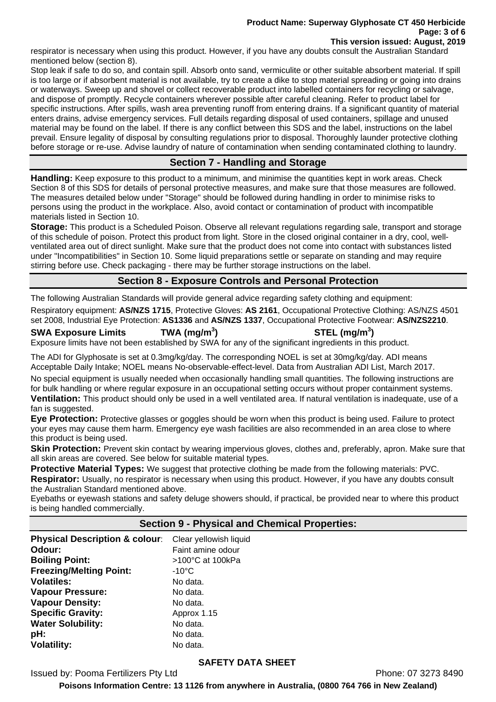#### **Product Name: Superway Glyphosate CT 450 Herbicide Page: 3 of 6 This version issued: August, 2019**

respirator is necessary when using this product. However, if you have any doubts consult the Australian Standard mentioned below (section 8).

Stop leak if safe to do so, and contain spill. Absorb onto sand, vermiculite or other suitable absorbent material. If spill is too large or if absorbent material is not available, try to create a dike to stop material spreading or going into drains or waterways. Sweep up and shovel or collect recoverable product into labelled containers for recycling or salvage, and dispose of promptly. Recycle containers wherever possible after careful cleaning. Refer to product label for specific instructions. After spills, wash area preventing runoff from entering drains. If a significant quantity of material enters drains, advise emergency services. Full details regarding disposal of used containers, spillage and unused material may be found on the label. If there is any conflict between this SDS and the label, instructions on the label prevail. Ensure legality of disposal by consulting regulations prior to disposal. Thoroughly launder protective clothing before storage or re-use. Advise laundry of nature of contamination when sending contaminated clothing to laundry.

# **Section 7 - Handling and Storage**

**Handling:** Keep exposure to this product to a minimum, and minimise the quantities kept in work areas. Check Section 8 of this SDS for details of personal protective measures, and make sure that those measures are followed. The measures detailed below under "Storage" should be followed during handling in order to minimise risks to persons using the product in the workplace. Also, avoid contact or contamination of product with incompatible materials listed in Section 10.

**Storage:** This product is a Scheduled Poison. Observe all relevant regulations regarding sale, transport and storage of this schedule of poison. Protect this product from light. Store in the closed original container in a dry, cool, wellventilated area out of direct sunlight. Make sure that the product does not come into contact with substances listed under "Incompatibilities" in Section 10. Some liquid preparations settle or separate on standing and may require stirring before use. Check packaging - there may be further storage instructions on the label.

## **Section 8 - Exposure Controls and Personal Protection**

The following Australian Standards will provide general advice regarding safety clothing and equipment:

Respiratory equipment: **AS/NZS 1715**, Protective Gloves: **AS 2161**, Occupational Protective Clothing: AS/NZS 4501 set 2008, Industrial Eye Protection: **AS1336** and **AS/NZS 1337**, Occupational Protective Footwear: **AS/NZS2210**.

**SWA Exposure Limits TWA (mg/m<sup>3</sup>**

**) STEL (mg/m<sup>3</sup> )** 

Exposure limits have not been established by SWA for any of the significant ingredients in this product.

The ADI for Glyphosate is set at 0.3mg/kg/day. The corresponding NOEL is set at 30mg/kg/day. ADI means Acceptable Daily Intake; NOEL means No-observable-effect-level. Data from Australian ADI List, March 2017.

No special equipment is usually needed when occasionally handling small quantities. The following instructions are for bulk handling or where regular exposure in an occupational setting occurs without proper containment systems.

**Ventilation:** This product should only be used in a well ventilated area. If natural ventilation is inadequate, use of a fan is suggested.

**Eye Protection:** Protective glasses or goggles should be worn when this product is being used. Failure to protect your eyes may cause them harm. Emergency eye wash facilities are also recommended in an area close to where this product is being used.

**Skin Protection:** Prevent skin contact by wearing impervious gloves, clothes and, preferably, apron. Make sure that all skin areas are covered. See below for suitable material types.

**Protective Material Types:** We suggest that protective clothing be made from the following materials: PVC. **Respirator:** Usually, no respirator is necessary when using this product. However, if you have any doubts consult the Australian Standard mentioned above.

Eyebaths or eyewash stations and safety deluge showers should, if practical, be provided near to where this product is being handled commercially.

## **Section 9 - Physical and Chemical Properties:**

**Physical Description & colour:** Clear yellowish liquid **Odour: Constant Amine of Paint amine odour Boiling Point:** >100°C at 100kPa **Freezing/Melting Point:** -10°C **Volatiles:** No data. **Vapour Pressure:** No data. **Vapour Density:** No data. **Specific Gravity:** Approx 1.15 **Water Solubility:** No data. **pH:** No data. **Volatility:** No data.

## **SAFETY DATA SHEET**

Issued by: Pooma Fertilizers Pty Ltd **Phone: 07 3273 8490**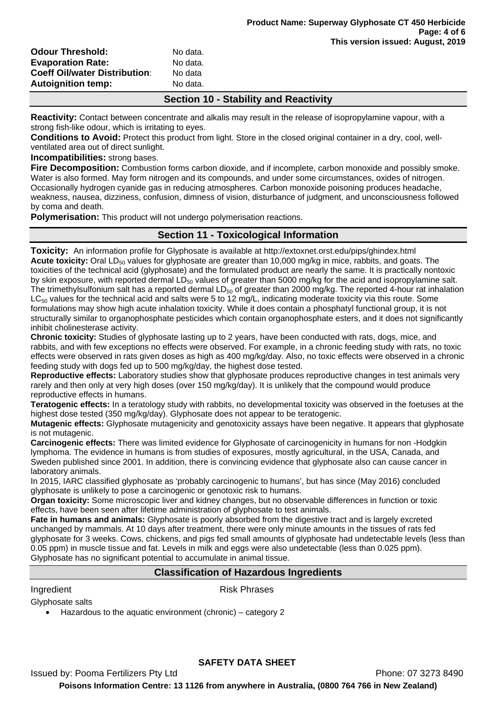| <b>Odour Threshold:</b>              | No data. |
|--------------------------------------|----------|
| <b>Evaporation Rate:</b>             | No data. |
| <b>Coeff Oil/water Distribution:</b> | No data  |
| <b>Autoignition temp:</b>            | No data. |

### **Section 10 - Stability and Reactivity**

**Reactivity:** Contact between concentrate and alkalis may result in the release of isopropylamine vapour, with a strong fish-like odour, which is irritating to eyes.

**Conditions to Avoid:** Protect this product from light. Store in the closed original container in a dry, cool, wellventilated area out of direct sunlight.

#### **Incompatibilities:** strong bases.

**Fire Decomposition:** Combustion forms carbon dioxide, and if incomplete, carbon monoxide and possibly smoke. Water is also formed. May form nitrogen and its compounds, and under some circumstances, oxides of nitrogen. Occasionally hydrogen cyanide gas in reducing atmospheres. Carbon monoxide poisoning produces headache, weakness, nausea, dizziness, confusion, dimness of vision, disturbance of judgment, and unconsciousness followed by coma and death.

**Polymerisation:** This product will not undergo polymerisation reactions.

### **Section 11 - Toxicological Information**

**Toxicity:** An information profile for Glyphosate is available at http://extoxnet.orst.edu/pips/ghindex.html **Acute toxicity:** Oral LD<sub>50</sub> values for glyphosate are greater than 10,000 mg/kg in mice, rabbits, and goats. The toxicities of the technical acid (glyphosate) and the formulated product are nearly the same. It is practically nontoxic by skin exposure, with reported dermal  $LD_{50}$  values of greater than 5000 mg/kg for the acid and isopropylamine salt. The trimethylsulfonium salt has a reported dermal  $LD_{50}$  of greater than 2000 mg/kg. The reported 4-hour rat inhalation  $LC_{50}$  values for the technical acid and salts were 5 to 12 mg/L, indicating moderate toxicity via this route. Some formulations may show high acute inhalation toxicity. While it does contain a phosphatyl functional group, it is not structurally similar to organophosphate pesticides which contain organophosphate esters, and it does not significantly inhibit cholinesterase activity.

**Chronic toxicity:** Studies of glyphosate lasting up to 2 years, have been conducted with rats, dogs, mice, and rabbits, and with few exceptions no effects were observed. For example, in a chronic feeding study with rats, no toxic effects were observed in rats given doses as high as 400 mg/kg/day. Also, no toxic effects were observed in a chronic feeding study with dogs fed up to 500 mg/kg/day, the highest dose tested.

**Reproductive effects:** Laboratory studies show that glyphosate produces reproductive changes in test animals very rarely and then only at very high doses (over 150 mg/kg/day). It is unlikely that the compound would produce reproductive effects in humans.

**Teratogenic effects:** In a teratology study with rabbits, no developmental toxicity was observed in the foetuses at the highest dose tested (350 mg/kg/day). Glyphosate does not appear to be teratogenic.

**Mutagenic effects:** Glyphosate mutagenicity and genotoxicity assays have been negative. It appears that glyphosate is not mutagenic.

**Carcinogenic effects:** There was limited evidence for Glyphosate of carcinogenicity in humans for non -Hodgkin lymphoma. The evidence in humans is from studies of exposures, mostly agricultural, in the USA, Canada, and Sweden published since 2001. In addition, there is convincing evidence that glyphosate also can cause cancer in laboratory animals.

In 2015, IARC classified glyphosate as 'probably carcinogenic to humans', but has since (May 2016) concluded glyphosate is unlikely to pose a carcinogenic or genotoxic risk to humans.

**Organ toxicity:** Some microscopic liver and kidney changes, but no observable differences in function or toxic effects, have been seen after lifetime administration of glyphosate to test animals.

**Fate in humans and animals:** Glyphosate is poorly absorbed from the digestive tract and is largely excreted unchanged by mammals. At 10 days after treatment, there were only minute amounts in the tissues of rats fed glyphosate for 3 weeks. Cows, chickens, and pigs fed small amounts of glyphosate had undetectable levels (less than 0.05 ppm) in muscle tissue and fat. Levels in milk and eggs were also undetectable (less than 0.025 ppm). Glyphosate has no significant potential to accumulate in animal tissue.

### **Classification of Hazardous Ingredients**

Ingredient **Risk Phrases** 

Glyphosate salts

• Hazardous to the aquatic environment (chronic) – category 2

## **SAFETY DATA SHEET**

Issued by: Pooma Fertilizers Pty Ltd **Phone: 07 3273 8490**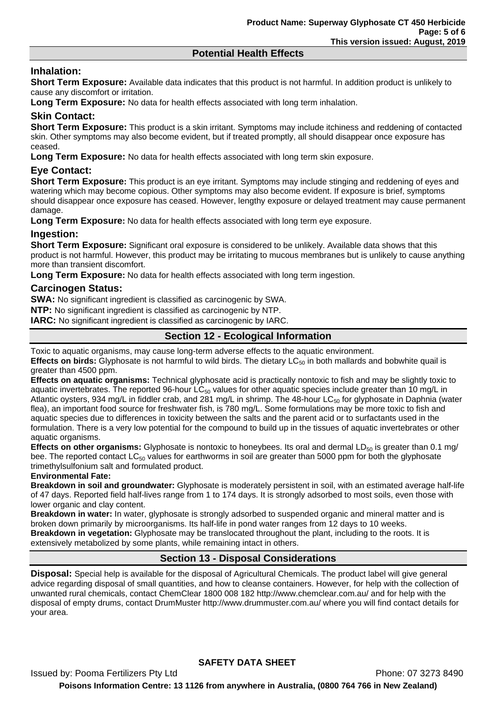### **Potential Health Effects**

# **Inhalation:**

**Short Term Exposure:** Available data indicates that this product is not harmful. In addition product is unlikely to cause any discomfort or irritation.

**Long Term Exposure:** No data for health effects associated with long term inhalation.

## **Skin Contact:**

**Short Term Exposure:** This product is a skin irritant. Symptoms may include itchiness and reddening of contacted skin. Other symptoms may also become evident, but if treated promptly, all should disappear once exposure has ceased.

**Long Term Exposure:** No data for health effects associated with long term skin exposure.

## **Eye Contact:**

**Short Term Exposure:** This product is an eye irritant. Symptoms may include stinging and reddening of eyes and watering which may become copious. Other symptoms may also become evident. If exposure is brief, symptoms should disappear once exposure has ceased. However, lengthy exposure or delayed treatment may cause permanent damage.

**Long Term Exposure:** No data for health effects associated with long term eye exposure.

### **Ingestion:**

**Short Term Exposure:** Significant oral exposure is considered to be unlikely. Available data shows that this product is not harmful. However, this product may be irritating to mucous membranes but is unlikely to cause anything more than transient discomfort.

**Long Term Exposure:** No data for health effects associated with long term ingestion.

### **Carcinogen Status:**

**SWA:** No significant ingredient is classified as carcinogenic by SWA.

**NTP:** No significant ingredient is classified as carcinogenic by NTP.

**IARC:** No significant ingredient is classified as carcinogenic by IARC.

## **Section 12 - Ecological Information**

Toxic to aquatic organisms, may cause long-term adverse effects to the aquatic environment.

**Effects on birds:** Glyphosate is not harmful to wild birds. The dietary LC<sub>50</sub> in both mallards and bobwhite quail is greater than 4500 ppm.

**Effects on aquatic organisms:** Technical glyphosate acid is practically nontoxic to fish and may be slightly toxic to aquatic invertebrates. The reported 96-hour LC $_{50}$  values for other aquatic species include greater than 10 mg/L in Atlantic oysters, 934 mg/L in fiddler crab, and 281 mg/L in shrimp. The 48-hour LC<sub>50</sub> for glyphosate in Daphnia (water flea), an important food source for freshwater fish, is 780 mg/L. Some formulations may be more toxic to fish and aquatic species due to differences in toxicity between the salts and the parent acid or to surfactants used in the formulation. There is a very low potential for the compound to build up in the tissues of aquatic invertebrates or other aquatic organisms.

**Effects on other organisms:** Glyphosate is nontoxic to honeybees. Its oral and dermal LD<sub>50</sub> is greater than 0.1 mg/ bee. The reported contact  $LC_{50}$  values for earthworms in soil are greater than 5000 ppm for both the glyphosate trimethylsulfonium salt and formulated product.

#### **Environmental Fate:**

**Breakdown in soil and groundwater:** Glyphosate is moderately persistent in soil, with an estimated average half-life of 47 days. Reported field half-lives range from 1 to 174 days. It is strongly adsorbed to most soils, even those with lower organic and clay content.

**Breakdown in water:** In water, glyphosate is strongly adsorbed to suspended organic and mineral matter and is broken down primarily by microorganisms. Its half-life in pond water ranges from 12 days to 10 weeks. **Breakdown in vegetation:** Glyphosate may be translocated throughout the plant, including to the roots. It is extensively metabolized by some plants, while remaining intact in others.

## **Section 13 - Disposal Considerations**

**Disposal:** Special help is available for the disposal of Agricultural Chemicals. The product label will give general advice regarding disposal of small quantities, and how to cleanse containers. However, for help with the collection of unwanted rural chemicals, contact ChemClear 1800 008 182 http://www.chemclear.com.au/ and for help with the disposal of empty drums, contact DrumMuster http://www.drummuster.com.au/ where you will find contact details for your area.

## **SAFETY DATA SHEET**

Issued by: Pooma Fertilizers Pty Ltd **Phone: 07 3273 8490 Poisons Information Centre: 13 1126 from anywhere in Australia, (0800 764 766 in New Zealand)**